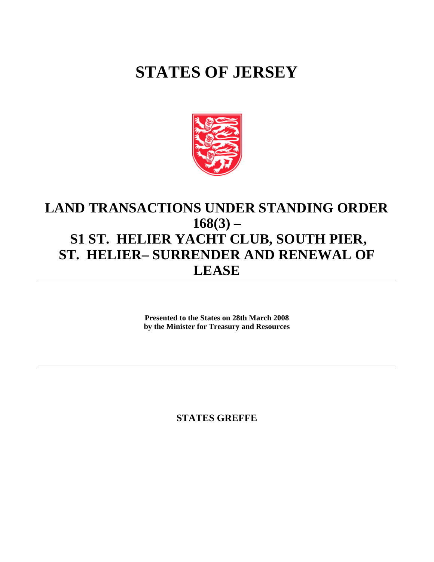## **STATES OF JERSEY**



## **LAND TRANSACTIONS UNDER STANDING ORDER 168(3) – S1 ST. HELIER YACHT CLUB, SOUTH PIER, ST. HELIER- SURRENDER AND RENEWAL OF LEASE**

**Presented to the States on 28th March 2008 by the Minister for Treasury and Resources**

**STATES GREFFE**